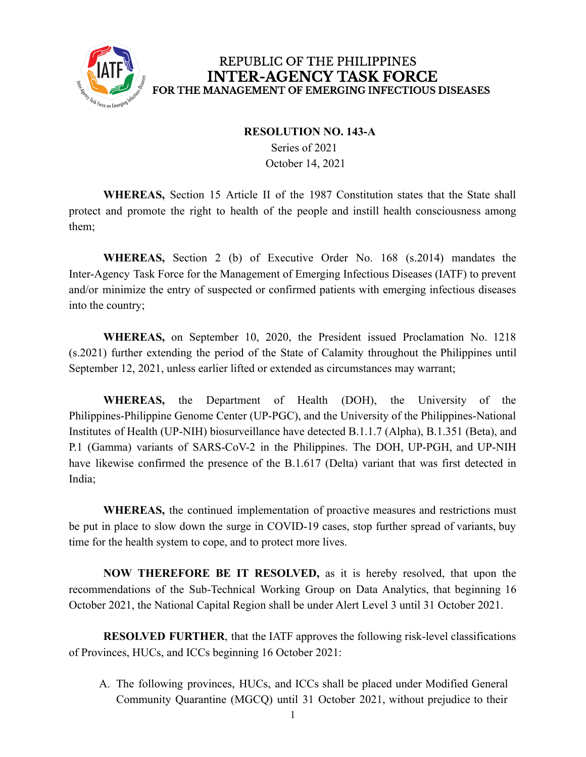

#### **RESOLUTION NO. 143-A**

Series of 2021 October 14, 2021

**WHEREAS,** Section 15 Article II of the 1987 Constitution states that the State shall protect and promote the right to health of the people and instill health consciousness among them;

**WHEREAS,** Section 2 (b) of Executive Order No. 168 (s.2014) mandates the Inter-Agency Task Force for the Management of Emerging Infectious Diseases (IATF) to prevent and/or minimize the entry of suspected or confirmed patients with emerging infectious diseases into the country;

**WHEREAS,** on September 10, 2020, the President issued Proclamation No. 1218 (s.2021) further extending the period of the State of Calamity throughout the Philippines until September 12, 2021, unless earlier lifted or extended as circumstances may warrant;

**WHEREAS,** the Department of Health (DOH), the University of the Philippines-Philippine Genome Center (UP-PGC), and the University of the Philippines-National Institutes of Health (UP-NIH) biosurveillance have detected B.1.1.7 (Alpha), B.1.351 (Beta), and P.1 (Gamma) variants of SARS-CoV-2 in the Philippines. The DOH, UP-PGH, and UP-NIH have likewise confirmed the presence of the B.1.617 (Delta) variant that was first detected in India;

**WHEREAS,** the continued implementation of proactive measures and restrictions must be put in place to slow down the surge in COVID-19 cases, stop further spread of variants, buy time for the health system to cope, and to protect more lives.

**NOW THEREFORE BE IT RESOLVED,** as it is hereby resolved, that upon the recommendations of the Sub-Technical Working Group on Data Analytics, that beginning 16 October 2021, the National Capital Region shall be under Alert Level 3 until 31 October 2021.

**RESOLVED FURTHER**, that the IATF approves the following risk-level classifications of Provinces, HUCs, and ICCs beginning 16 October 2021:

A. The following provinces, HUCs, and ICCs shall be placed under Modified General Community Quarantine (MGCQ) until 31 October 2021, without prejudice to their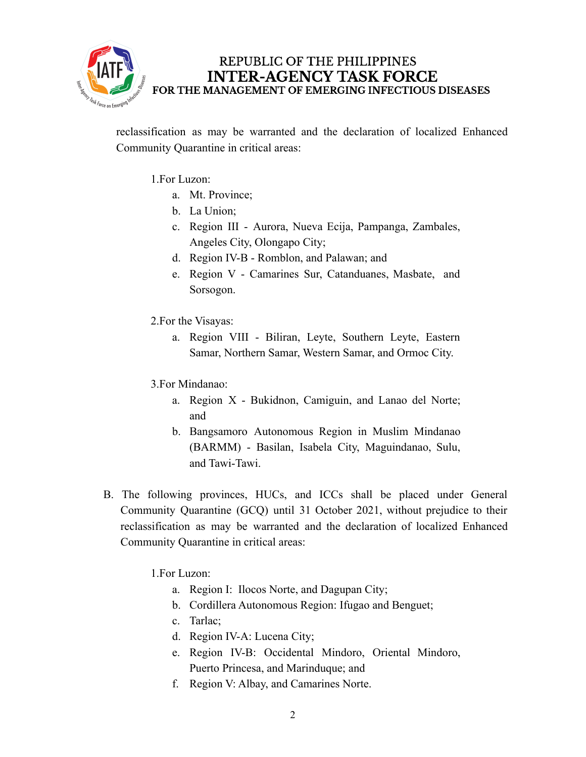

reclassification as may be warranted and the declaration of localized Enhanced Community Quarantine in critical areas:

1.For Luzon:

- a. Mt. Province;
- b. La Union;
- c. Region III Aurora, Nueva Ecija, Pampanga, Zambales, Angeles City, Olongapo City;
- d. Region IV-B Romblon, and Palawan; and
- e. Region V Camarines Sur, Catanduanes, Masbate, and Sorsogon.
- 2.For the Visayas:
	- a. Region VIII Biliran, Leyte, Southern Leyte, Eastern Samar, Northern Samar, Western Samar, and Ormoc City.
- 3.For Mindanao:
	- a. Region X Bukidnon, Camiguin, and Lanao del Norte; and
	- b. Bangsamoro Autonomous Region in Muslim Mindanao (BARMM) - Basilan, Isabela City, Maguindanao, Sulu, and Tawi-Tawi.
- B. The following provinces, HUCs, and ICCs shall be placed under General Community Quarantine (GCQ) until 31 October 2021, without prejudice to their reclassification as may be warranted and the declaration of localized Enhanced Community Quarantine in critical areas:

1.For Luzon:

- a. Region I: Ilocos Norte, and Dagupan City;
- b. Cordillera Autonomous Region: Ifugao and Benguet;
- c. Tarlac;
- d. Region IV-A: Lucena City;
- e. Region IV-B: Occidental Mindoro, Oriental Mindoro, Puerto Princesa, and Marinduque; and
- f. Region V: Albay, and Camarines Norte.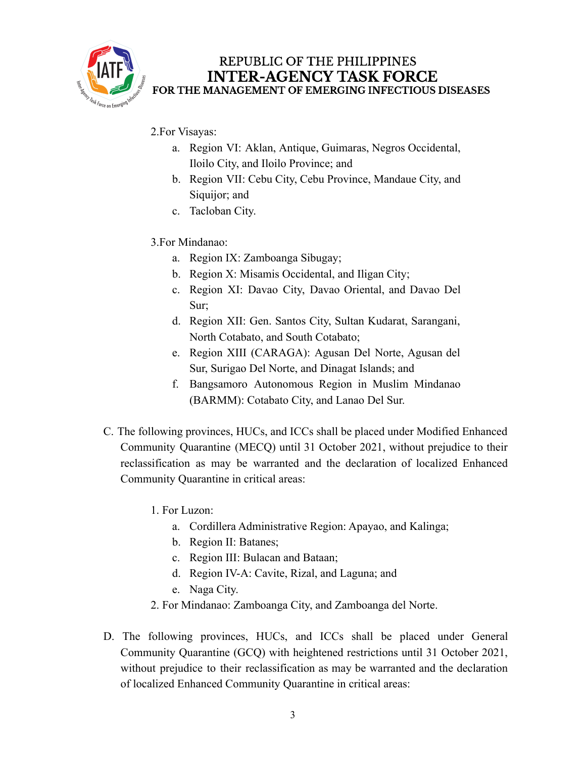

- 2.For Visayas:
	- a. Region VI: Aklan, Antique, Guimaras, Negros Occidental, Iloilo City, and Iloilo Province; and
	- b. Region VII: Cebu City, Cebu Province, Mandaue City, and Siquijor; and
	- c. Tacloban City.
- 3.For Mindanao:
	- a. Region IX: Zamboanga Sibugay;
	- b. Region X: Misamis Occidental, and Iligan City;
	- c. Region XI: Davao City, Davao Oriental, and Davao Del Sur;
	- d. Region XII: Gen. Santos City, Sultan Kudarat, Sarangani, North Cotabato, and South Cotabato;
	- e. Region XIII (CARAGA): Agusan Del Norte, Agusan del Sur, Surigao Del Norte, and Dinagat Islands; and
	- f. Bangsamoro Autonomous Region in Muslim Mindanao (BARMM): Cotabato City, and Lanao Del Sur.
- C. The following provinces, HUCs, and ICCs shall be placed under Modified Enhanced Community Quarantine (MECQ) until 31 October 2021, without prejudice to their reclassification as may be warranted and the declaration of localized Enhanced Community Quarantine in critical areas:
	- 1. For Luzon:
		- a. Cordillera Administrative Region: Apayao, and Kalinga;
		- b. Region II: Batanes;
		- c. Region III: Bulacan and Bataan;
		- d. Region IV-A: Cavite, Rizal, and Laguna; and
		- e. Naga City.
	- 2. For Mindanao: Zamboanga City, and Zamboanga del Norte.
- D. The following provinces, HUCs, and ICCs shall be placed under General Community Quarantine (GCQ) with heightened restrictions until 31 October 2021, without prejudice to their reclassification as may be warranted and the declaration of localized Enhanced Community Quarantine in critical areas: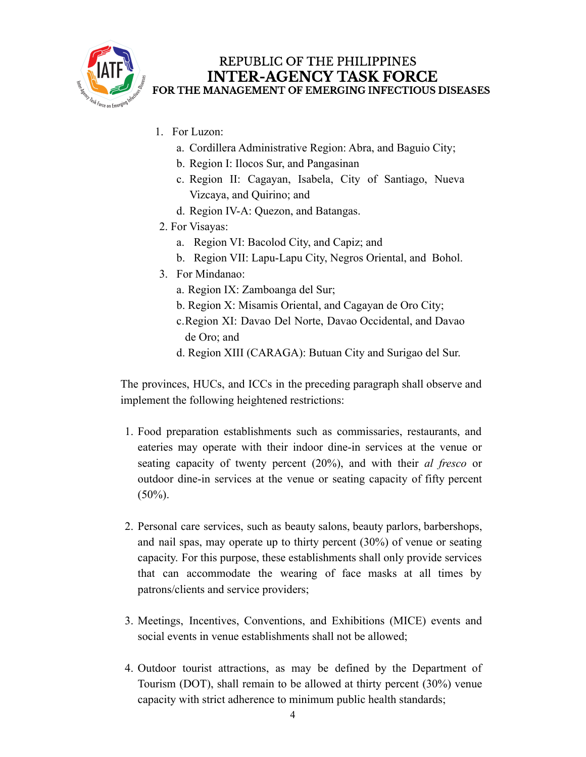

- 1. For Luzon:
	- a. Cordillera Administrative Region: Abra, and Baguio City;
	- b. Region I: Ilocos Sur, and Pangasinan
	- c. Region II: Cagayan, Isabela, City of Santiago, Nueva Vizcaya, and Quirino; and
	- d. Region IV-A: Quezon, and Batangas.
- 2. For Visayas:
	- a. Region VI: Bacolod City, and Capiz; and
	- b. Region VII: Lapu-Lapu City, Negros Oriental, and Bohol.
- 3. For Mindanao:
	- a. Region IX: Zamboanga del Sur;
	- b. Region X: Misamis Oriental, and Cagayan de Oro City;
	- c.Region XI: Davao Del Norte, Davao Occidental, and Davao de Oro; and
	- d. Region XIII (CARAGA): Butuan City and Surigao del Sur.

The provinces, HUCs, and ICCs in the preceding paragraph shall observe and implement the following heightened restrictions:

- 1. Food preparation establishments such as commissaries, restaurants, and eateries may operate with their indoor dine-in services at the venue or seating capacity of twenty percent (20%), and with their *al fresco* or outdoor dine-in services at the venue or seating capacity of fifty percent  $(50\%)$ .
- 2. Personal care services, such as beauty salons, beauty parlors, barbershops, and nail spas, may operate up to thirty percent (30%) of venue or seating capacity. For this purpose, these establishments shall only provide services that can accommodate the wearing of face masks at all times by patrons/clients and service providers;
- 3. Meetings, Incentives, Conventions, and Exhibitions (MICE) events and social events in venue establishments shall not be allowed;
- 4. Outdoor tourist attractions, as may be defined by the Department of Tourism (DOT), shall remain to be allowed at thirty percent (30%) venue capacity with strict adherence to minimum public health standards;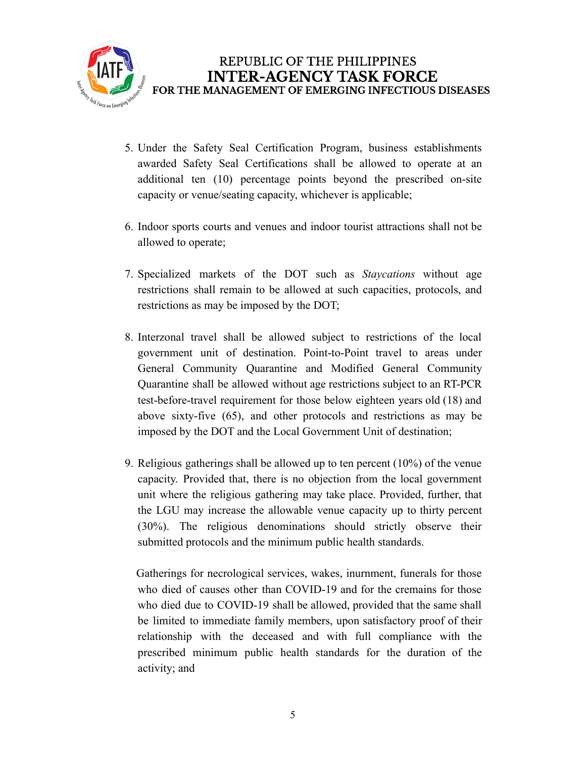

- 5. Under the Safety Seal Certification Program, business establishments awarded Safety Seal Certifications shall be allowed to operate at an additional ten (10) percentage points beyond the prescribed on-site capacity or venue/seating capacity, whichever is applicable;
- 6. Indoor sports courts and venues and indoor tourist attractions shall not be allowed to operate;
- 7. Specialized markets of the DOT such as *Staycations* without age restrictions shall remain to be allowed at such capacities, protocols, and restrictions as may be imposed by the DOT;
- 8. Interzonal travel shall be allowed subject to restrictions of the local government unit of destination. Point-to-Point travel to areas under General Community Quarantine and Modified General Community Quarantine shall be allowed without age restrictions subject to an RT-PCR test-before-travel requirement for those below eighteen years old (18) and above sixty-five (65), and other protocols and restrictions as may be imposed by the DOT and the Local Government Unit of destination;
- 9. Religious gatherings shall be allowed up to ten percent (10%) of the venue capacity. Provided that, there is no objection from the local government unit where the religious gathering may take place. Provided, further, that the LGU may increase the allowable venue capacity up to thirty percent (30%). The religious denominations should strictly observe their submitted protocols and the minimum public health standards.

Gatherings for necrological services, wakes, inurnment, funerals for those who died of causes other than COVID-19 and for the cremains for those who died due to COVID-19 shall be allowed, provided that the same shall be limited to immediate family members, upon satisfactory proof of their relationship with the deceased and with full compliance with the prescribed minimum public health standards for the duration of the activity; and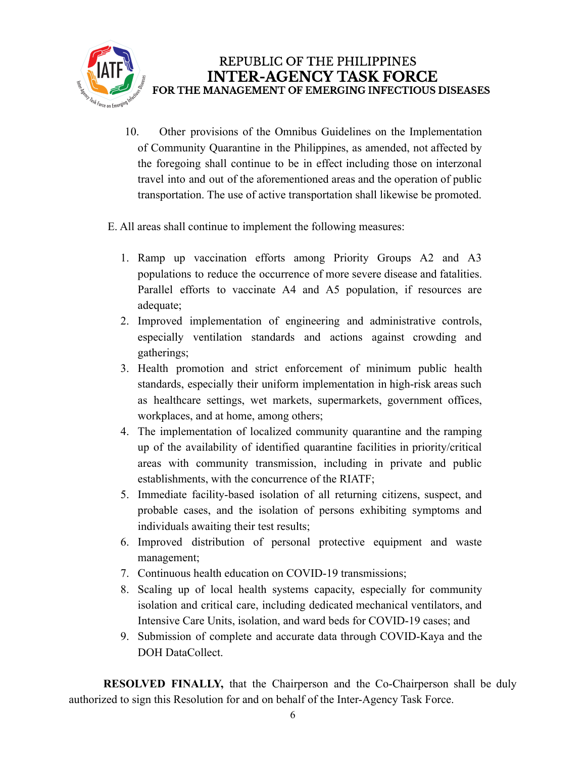

- 10. Other provisions of the Omnibus Guidelines on the Implementation of Community Quarantine in the Philippines, as amended, not affected by the foregoing shall continue to be in effect including those on interzonal travel into and out of the aforementioned areas and the operation of public transportation. The use of active transportation shall likewise be promoted.
- E. All areas shall continue to implement the following measures:
	- 1. Ramp up vaccination efforts among Priority Groups A2 and A3 populations to reduce the occurrence of more severe disease and fatalities. Parallel efforts to vaccinate A4 and A5 population, if resources are adequate;
	- 2. Improved implementation of engineering and administrative controls, especially ventilation standards and actions against crowding and gatherings;
	- 3. Health promotion and strict enforcement of minimum public health standards, especially their uniform implementation in high-risk areas such as healthcare settings, wet markets, supermarkets, government offices, workplaces, and at home, among others;
	- 4. The implementation of localized community quarantine and the ramping up of the availability of identified quarantine facilities in priority/critical areas with community transmission, including in private and public establishments, with the concurrence of the RIATF;
	- 5. Immediate facility-based isolation of all returning citizens, suspect, and probable cases, and the isolation of persons exhibiting symptoms and individuals awaiting their test results;
	- 6. Improved distribution of personal protective equipment and waste management;
	- 7. Continuous health education on COVID-19 transmissions;
	- 8. Scaling up of local health systems capacity, especially for community isolation and critical care, including dedicated mechanical ventilators, and Intensive Care Units, isolation, and ward beds for COVID-19 cases; and
	- 9. Submission of complete and accurate data through COVID-Kaya and the DOH DataCollect.

**RESOLVED FINALLY,** that the Chairperson and the Co-Chairperson shall be duly authorized to sign this Resolution for and on behalf of the Inter-Agency Task Force.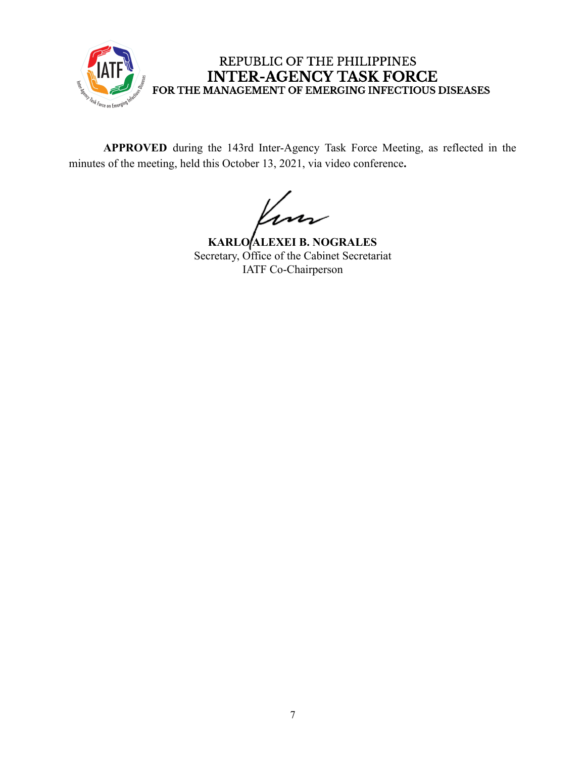

**APPROVED** during the 143rd Inter-Agency Task Force Meeting, as reflected in the minutes of the meeting, held this October 13, 2021, via video conference**.**

**KARLO ALEXEI B. NOGRALES** Secretary, Office of the Cabinet Secretariat IATF Co-Chairperson